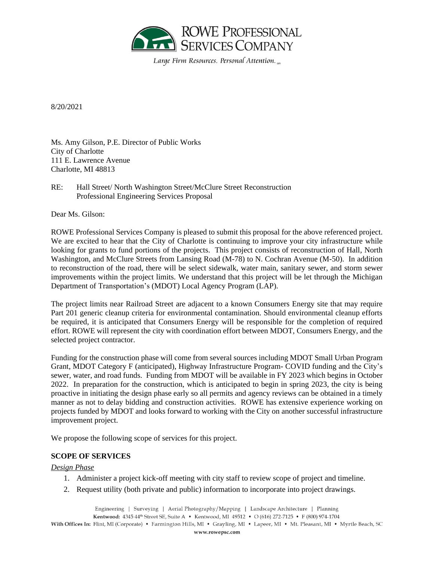

Large Firm Resources. Personal Attention.

8/20/2021

Ms. Amy Gilson, P.E. Director of Public Works City of Charlotte 111 E. Lawrence Avenue Charlotte, MI 48813

RE: Hall Street/ North Washington Street/McClure Street Reconstruction Professional Engineering Services Proposal

Dear Ms. Gilson:

ROWE Professional Services Company is pleased to submit this proposal for the above referenced project. We are excited to hear that the City of Charlotte is continuing to improve your city infrastructure while looking for grants to fund portions of the projects. This project consists of reconstruction of Hall, North Washington, and McClure Streets from Lansing Road (M-78) to N. Cochran Avenue (M-50). In addition to reconstruction of the road, there will be select sidewalk, water main, sanitary sewer, and storm sewer improvements within the project limits. We understand that this project will be let through the Michigan Department of Transportation's (MDOT) Local Agency Program (LAP).

The project limits near Railroad Street are adjacent to a known Consumers Energy site that may require Part 201 generic cleanup criteria for environmental contamination. Should environmental cleanup efforts be required, it is anticipated that Consumers Energy will be responsible for the completion of required effort. ROWE will represent the city with coordination effort between MDOT, Consumers Energy, and the selected project contractor.

Funding for the construction phase will come from several sources including MDOT Small Urban Program Grant, MDOT Category F (anticipated), Highway Infrastructure Program- COVID funding and the City's sewer, water, and road funds. Funding from MDOT will be available in FY 2023 which begins in October 2022. In preparation for the construction, which is anticipated to begin in spring 2023, the city is being proactive in initiating the design phase early so all permits and agency reviews can be obtained in a timely manner as not to delay bidding and construction activities. ROWE has extensive experience working on projects funded by MDOT and looks forward to working with the City on another successful infrastructure improvement project.

We propose the following scope of services for this project.

## **SCOPE OF SERVICES**

## *Design Phase*

- 1. Administer a project kick-off meeting with city staff to review scope of project and timeline.
- 2. Request utility (both private and public) information to incorporate into project drawings.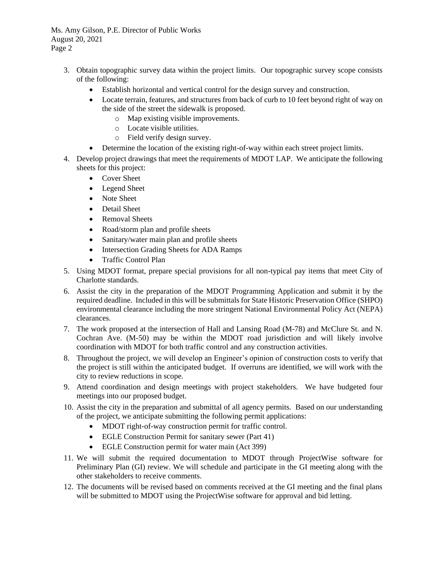Ms. Amy Gilson, P.E. Director of Public Works August 20, 2021 Page 2

- 3. Obtain topographic survey data within the project limits. Our topographic survey scope consists of the following:
	- Establish horizontal and vertical control for the design survey and construction.
	- Locate terrain, features, and structures from back of curb to 10 feet beyond right of way on the side of the street the sidewalk is proposed.
		- o Map existing visible improvements.
		- o Locate visible utilities.
		- o Field verify design survey.
	- Determine the location of the existing right-of-way within each street project limits.
- 4. Develop project drawings that meet the requirements of MDOT LAP. We anticipate the following sheets for this project:
	- Cover Sheet
	- Legend Sheet
	- Note Sheet
	- Detail Sheet
	- Removal Sheets
	- Road/storm plan and profile sheets
	- Sanitary/water main plan and profile sheets
	- Intersection Grading Sheets for ADA Ramps
	- Traffic Control Plan
- 5. Using MDOT format, prepare special provisions for all non-typical pay items that meet City of Charlotte standards.
- 6. Assist the city in the preparation of the MDOT Programming Application and submit it by the required deadline. Included in this will be submittals for State Historic Preservation Office (SHPO) environmental clearance including the more stringent National Environmental Policy Act (NEPA) clearances.
- 7. The work proposed at the intersection of Hall and Lansing Road (M-78) and McClure St. and N. Cochran Ave. (M-50) may be within the MDOT road jurisdiction and will likely involve coordination with MDOT for both traffic control and any construction activities.
- 8. Throughout the project, we will develop an Engineer's opinion of construction costs to verify that the project is still within the anticipated budget. If overruns are identified, we will work with the city to review reductions in scope.
- 9. Attend coordination and design meetings with project stakeholders. We have budgeted four meetings into our proposed budget.
- 10. Assist the city in the preparation and submittal of all agency permits. Based on our understanding of the project, we anticipate submitting the following permit applications:
	- MDOT right-of-way construction permit for traffic control.
	- EGLE Construction Permit for sanitary sewer (Part 41)
	- EGLE Construction permit for water main (Act 399)
- 11. We will submit the required documentation to MDOT through ProjectWise software for Preliminary Plan (GI) review. We will schedule and participate in the GI meeting along with the other stakeholders to receive comments.
- 12. The documents will be revised based on comments received at the GI meeting and the final plans will be submitted to MDOT using the ProjectWise software for approval and bid letting.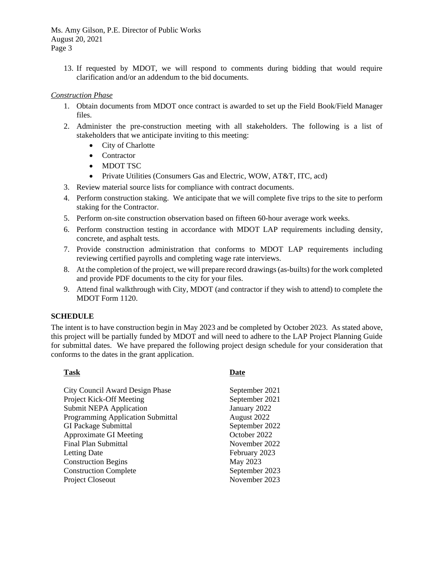13. If requested by MDOT, we will respond to comments during bidding that would require clarification and/or an addendum to the bid documents.

## *Construction Phase*

- 1. Obtain documents from MDOT once contract is awarded to set up the Field Book/Field Manager files.
- 2. Administer the pre-construction meeting with all stakeholders. The following is a list of stakeholders that we anticipate inviting to this meeting:
	- City of Charlotte
	- Contractor
	- MDOT TSC
	- Private Utilities (Consumers Gas and Electric, WOW, AT&T, ITC, acd)
- 3. Review material source lists for compliance with contract documents.
- 4. Perform construction staking. We anticipate that we will complete five trips to the site to perform staking for the Contractor.
- 5. Perform on-site construction observation based on fifteen 60-hour average work weeks.
- 6. Perform construction testing in accordance with MDOT LAP requirements including density, concrete, and asphalt tests.
- 7. Provide construction administration that conforms to MDOT LAP requirements including reviewing certified payrolls and completing wage rate interviews.
- 8. At the completion of the project, we will prepare record drawings (as-builts) for the work completed and provide PDF documents to the city for your files.
- 9. Attend final walkthrough with City, MDOT (and contractor if they wish to attend) to complete the MDOT Form 1120.

## **SCHEDULE**

The intent is to have construction begin in May 2023 and be completed by October 2023. As stated above, this project will be partially funded by MDOT and will need to adhere to the LAP Project Planning Guide for submittal dates. We have prepared the following project design schedule for your consideration that conforms to the dates in the grant application.

# **Task Date**

City Council Award Design Phase Project Kick-Off Meeting Submit NEPA Application Programming Application Submittal GI Package Submittal Approximate GI Meeting Final Plan Submittal Letting Date Construction Begins Construction Complete Project Closeout

September 2021 September 2021 January 2022 August 2022 September 2022 October 2022 November 2022 February 2023 May 2023 September 2023 November 2023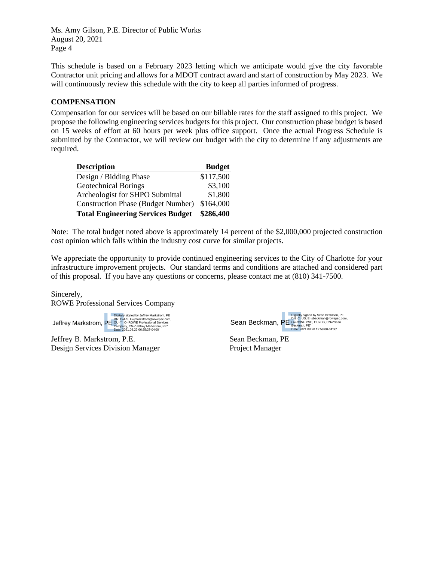Ms. Amy Gilson, P.E. Director of Public Works August 20, 2021 Page 4

This schedule is based on a February 2023 letting which we anticipate would give the city favorable Contractor unit pricing and allows for a MDOT contract award and start of construction by May 2023. We will continuously review this schedule with the city to keep all parties informed of progress.

## **COMPENSATION**

Compensation for our services will be based on our billable rates for the staff assigned to this project. We propose the following engineering services budgets for this project. Our construction phase budget is based on 15 weeks of effort at 60 hours per week plus office support. Once the actual Progress Schedule is submitted by the Contractor, we will review our budget with the city to determine if any adjustments are required.

| <b>Description</b>                        | <b>Budget</b> |
|-------------------------------------------|---------------|
| Design / Bidding Phase                    | \$117,500     |
| Geotechnical Borings                      | \$3,100       |
| Archeologist for SHPO Submittal           | \$1,800       |
| <b>Construction Phase (Budget Number)</b> | \$164,000     |
| <b>Total Engineering Services Budget</b>  | \$286,400     |

Note: The total budget noted above is approximately 14 percent of the \$2,000,000 projected construction cost opinion which falls within the industry cost curve for similar projects.

We appreciate the opportunity to provide continued engineering services to the City of Charlotte for your infrastructure improvement projects. Our standard terms and conditions are attached and considered part of this proposal. If you have any questions or concerns, please contact me at (810) 341-7500.

Sincerely, ROWE Professional Services Company

DN: C=US, E=jmarkstrom@rowepsc.com,<br>Jeffrey Markstrom, PE OU=", O=ROWE Professional Services<br>Date: 2021.08.23 06:35:27-04'00' Digitally signed by Jeffrey Markstrom, PE

Jeffrey B. Markstrom, P.E. Sean Beckman, PE Design Services Division Manager Project Manager

| Sean Beckman, PE |  | Digitally signed by Sean Beckman, PE<br>DN: C=US, E=sbeckman@rowepsc.com,<br>O=ROWE PSC, OU=DS, CN="Sean<br>Beckman, PE"<br>Date: 2021.08.20 12:58:00-04'00' |
|------------------|--|--------------------------------------------------------------------------------------------------------------------------------------------------------------|
|------------------|--|--------------------------------------------------------------------------------------------------------------------------------------------------------------|